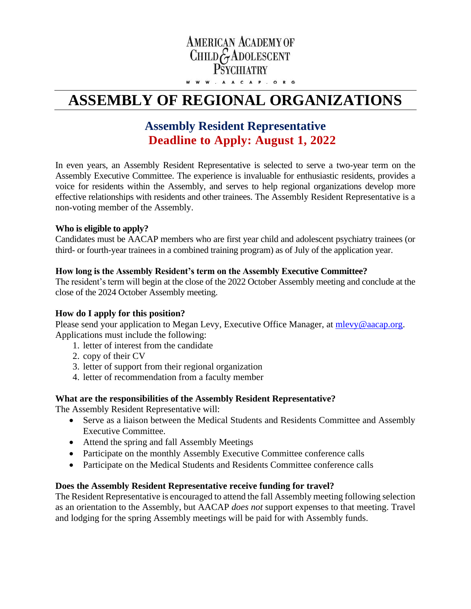## **AMERICAN ACADEMY OF** CHILD GADOLESCENT **PSYCHIATRY**

W W W . A A C A P . O R G

# **ASSEMBLY OF REGIONAL ORGANIZATIONS**

### **Assembly Resident Representative Deadline to Apply: August 1, 2022**

In even years, an Assembly Resident Representative is selected to serve a two-year term on the Assembly Executive Committee. The experience is invaluable for enthusiastic residents, provides a voice for residents within the Assembly, and serves to help regional organizations develop more effective relationships with residents and other trainees. The Assembly Resident Representative is a non-voting member of the Assembly.

#### **Who is eligible to apply?**

Candidates must be AACAP members who are first year child and adolescent psychiatry trainees (or third- or fourth-year trainees in a combined training program) as of July of the application year.

#### **How long is the Assembly Resident's term on the Assembly Executive Committee?**

The resident's term will begin at the close of the 2022 October Assembly meeting and conclude at the close of the 2024 October Assembly meeting.

#### **How do I apply for this position?**

Please send your application to Megan Levy, Executive Office Manager, at [mlevy@aacap.org.](mailto:mlevy@aacap.org) Applications must include the following:

- 1. letter of interest from the candidate
- 2. copy of their CV
- 3. letter of support from their regional organization
- 4. letter of recommendation from a faculty member

#### **What are the responsibilities of the Assembly Resident Representative?**

The Assembly Resident Representative will:

- Serve as a liaison between the Medical Students and Residents Committee and Assembly Executive Committee.
- Attend the spring and fall Assembly Meetings
- Participate on the monthly Assembly Executive Committee conference calls
- Participate on the Medical Students and Residents Committee conference calls

#### **Does the Assembly Resident Representative receive funding for travel?**

The Resident Representative is encouraged to attend the fall Assembly meeting following selection as an orientation to the Assembly, but AACAP *does not* support expenses to that meeting. Travel and lodging for the spring Assembly meetings will be paid for with Assembly funds.